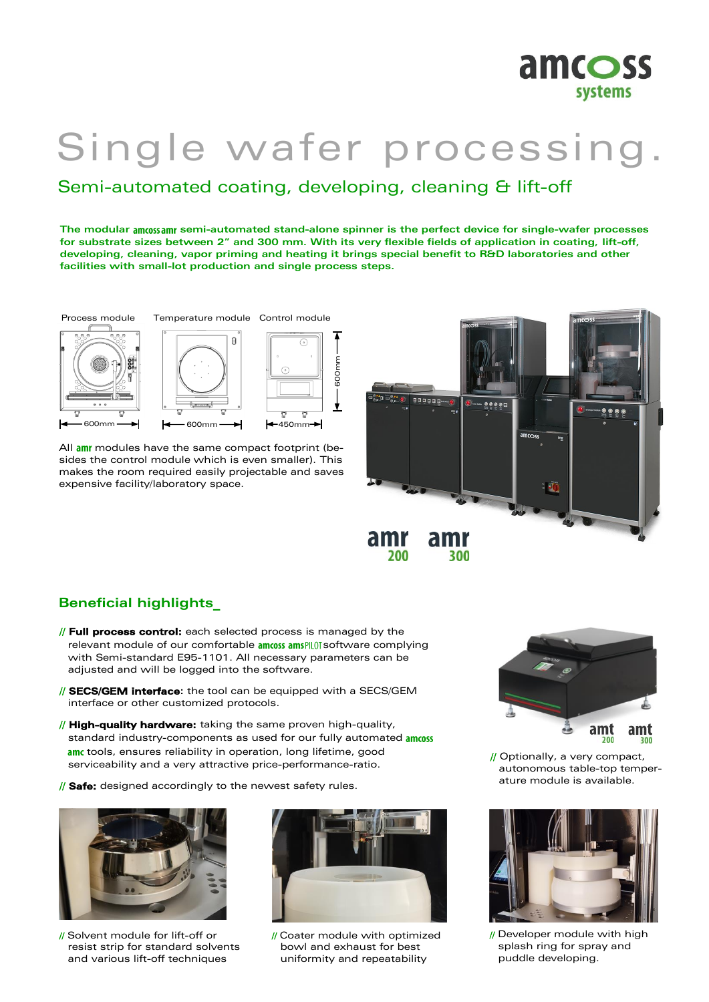

# Single wafer processing.

## Semi-automated coating, developing, cleaning & lift-off

**The modular semi-automated stand-alone spinner is the perfect device for single-wafer processes for substrate sizes between 2" and 300 mm. With its very flexible fields of application in coating, lift-off, developing, cleaning, vapor priming and heating it brings special benefit to R&D laboratories and other facilities with small-lot production and single process steps.** 



All am modules have the same compact footprint (besides the control module which is even smaller). This makes the room required easily projectable and saves expensive facility/laboratory space.



### **Beneficial highlights\_**

- // **Full process control:** each selected process is managed by the relevant module of our comfortable amoss amsPLOT software complying with Semi-standard E95-1101. All necessary parameters can be adjusted and will be logged into the software.
- // **SECS/GEM interface:** the tool can be equipped with a SECS/GEM interface or other customized protocols.
- // **High-quality hardware:** taking the same proven high-quality, standard industry-components as used for our fully automated amoss am tools, ensures reliability in operation, long lifetime, good serviceability and a very attractive price-performance-ratio.
- // **Safe:** designed accordingly to the newest safety rules.



// Solvent module for lift-off or resist strip for standard solvents and various lift-off techniques



// Coater module with optimized bowl and exhaust for best uniformity and repeatability



// Optionally, a very compact, autonomous table-top temperature module is available.



// Developer module with high splash ring for spray and puddle developing.